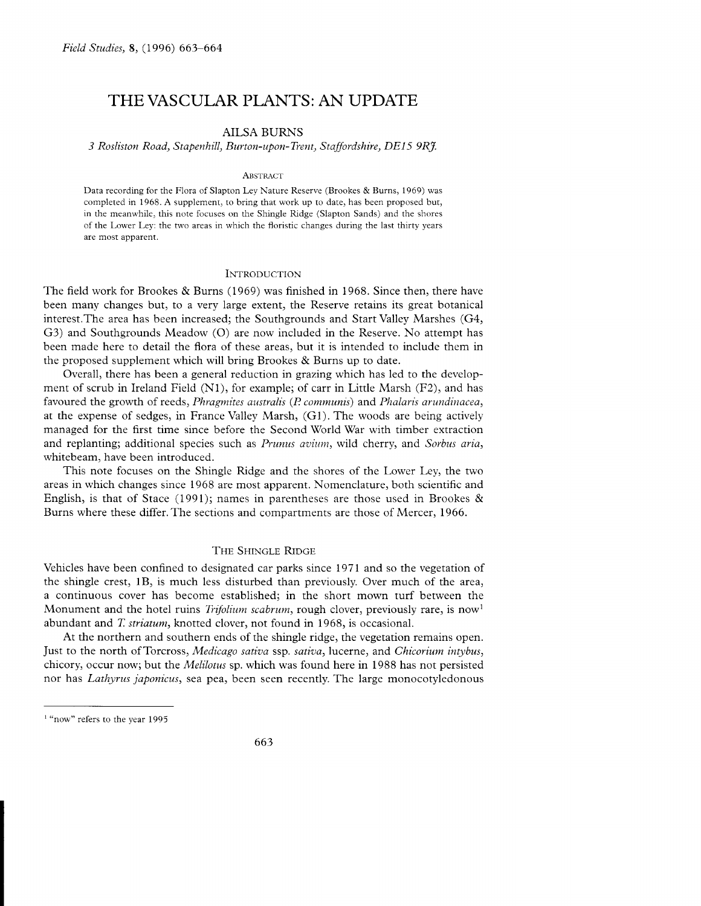# THEVASCULAR PLANTS: AN UPDATE

# AILSA BURNS

3 Rosliston Road, Stapenhill, Burton-upon-Tient, Staffordshire, DEl5 9RJ.

#### ABSTRACT

Data recording for the Flora of Slapton Ley Nature Reserve (Brookes & Burns, 1969) was completed in 1968. A supplement, to bring that work up to date, has been proposed but, in the meanu'hilc, this note focuses on the Shingle Ridge (Slapton Sands) and the shores of the Lower Ley: the two areas in which the floristic changes during the last thirty years are most apparent.

#### **INTRODUCTION**

The field work for Brookes & Burns (1969) was finished in 1968. Since then, there have been many changes but, to a very large extent, the Reserve retains its great botanical interest.The area has been increased; the Southgrounds and Start Valley Marshes (G4, G3) and Southgrounds Meadow (O) are now included in the Reserve. No attempt has been made here to detail the flora of these areas, but it is intended to include them in the proposed supplement which will bring Brookes & Burns up to date.

Overall, there has been a general reduction in grazing which has led to the development of scrub in Ireland Field  $(N1)$ , for example; of carr in Little Marsh  $(F2)$ , and has favoured the growth of reeds, *Phragmites australis (P. communis)* and *Phalaris arundinacea*, at the expense of sedges, in France Valley Marsh, (Gl). The woods are being actively managed for the first time since before the Second World War with timber extraction and replanting; additional species such as *Prunus avium*, wild cherry, and Sorbus aria, whitebeam, have been introduced.

This note focuses on the Shingle Ridge and the shores of the Lower Ley, the two areas in which changes since 1968 are most apparent. Nomenclature, both scientific and English, is that of Stace (1991); names in parentheses are those used in Brookes & Burns where these differ.The sections and compartments are those of Mercer, 1966.

## THE SHINGLE RIDGE

Vehicles have been confined to designated car parks since 1971 and so the vegetation of the shingle crest, lB) is much less disturbed than previously. Over much of the area, a continuous cover has become established; in the short mown turf between the Monument and the hotel ruins *Trifolium scabrum*, rough clover, previously rare, is now abundant and *T. striatum*, knotted clover, not found in 1968, is occasional.

At the northern and southern ends of the shingle ridge, the vegetation remains open. Just to the north of Torcross, Medicago sativa ssp. sativa, lucerne, and Chicorium intybus, chicory, occur now; but the *Melilotus* sp. which was found here in 1988 has not persisted nor has Lathyrus japonicus, sea pea, been seen recently. The large monocotyledonous

<sup>&</sup>lt;sup>1</sup> "now" refers to the year 1995